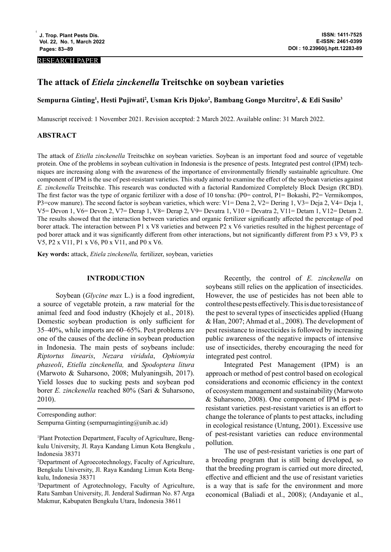### RESEARCH PAPER

# **The attack of** *Etiela zinckenella* **Treitschke on soybean varieties**

# **Sempurna Ginting1 , Hesti Pujiwati2 , Usman Kris Djoko2 , Bambang Gongo Murcitro2 , & Edi Susilo3**

Manuscript received: 1 November 2021. Revision accepted: 2 March 2022. Available online: 31 March 2022.

# **ABSTRACT**

The attack of *Etiella zinckenella* Treitschke on soybean varieties. Soybean is an important food and source of vegetable protein. One of the problems in soybean cultivation in Indonesia is the presence of pests. Integrated pest control (IPM) techniques are increasing along with the awareness of the importance of environmentally friendly sustainable agriculture. One component of IPM is the use of pest-resistant varieties. This study aimed to examine the effect of the soybean varieties against *E. zinckenella* Treitschke. This research was conducted with a factorial Randomized Completely Block Design (RCBD). The first factor was the type of organic fertilizer with a dose of 10 tons/ha: (P0= control, P1= Bokashi, P2= Vermikompos, P3=cow manure). The second factor is soybean varieties, which were: V1= Dena 2, V2= Dering 1, V3= Deja 2, V4= Deja 1, V5= Devon 1, V6= Devon 2, V7= Derap 1, V8= Derap 2, V9= Devatra 1, V10 = Devatra 2, V11= Detam 1, V12= Detam 2. The results showed that the interaction between varieties and organic fertilizer significantly affected the percentage of pod borer attack. The interaction between P1 x V8 varieties and between P2 x V6 varieties resulted in the highest percentage of pod borer attack and it was significantly different from other interactions, but not significantly different from P3 x V9, P3 x V5, P2 x V11, P1 x V6, P0 x V11, and P0 x V6.

**Key words:** attack, *Etiela zinckenella,* fertilizer, soybean, varieties

### **INTRODUCTION**

Soybean (*Glycine max* L.) is a food ingredient, a source of vegetable protein, a raw material for the animal feed and food industry (Khojely et al., 2018). Domestic soybean production is only sufficient for 35–40%, while imports are 60–65%. Pest problems are one of the causes of the decline in soybean production in Indonesia. The main pests of soybeans include: *Riptortus linearis*, *Nezara viridula*, *Ophiomyia phaseoli*, *Etiella zinckenella,* and *Spodoptera litura*  (Marwoto & Suharsono, 2008; Mulyaningsih, 2017). Yield losses due to sucking pests and soybean pod borer *E. zinckenella* reached 80% (Sari & Suharsono, 2010).

Corresponding author: Sempurna Ginting (sempurnaginting@unib.ac.id)

Recently, the control of *E. zinckenella* on soybeans still relies on the application of insecticides. However, the use of pesticides has not been able to control these pests effectively. This is due to resistance of the pest to several types of insecticides applied (Huang & Han, 2007; Ahmad et al., 2008). The development of pest resistance to insecticides is followed by increasing public awareness of the negative impacts of intensive use of insecticides, thereby encouraging the need for integrated pest control.

Integrated Pest Management (IPM) is an approach or method of pest control based on ecological considerations and economic efficiency in the context of ecosystem management and sustainability (Marwoto & Suharsono, 2008). One component of IPM is pestresistant varieties. pest-resistant varieties is an effort to change the tolerance of plants to pest attacks, including in ecological resistance (Untung, 2001). Excessive use of pest-resistant varieties can reduce environmental pollution.

The use of pest-resistant varieties is one part of a breeding program that is still being developed, so that the breeding program is carried out more directed, effective and efficient and the use of resistant varieties is a way that is safe for the environment and more economical (Baliadi et al., 2008); (Andayanie et al.,

<sup>&</sup>lt;sup>1</sup>Plant Protection Department, Faculty of Agriculture, Bengkulu University, Jl. Raya Kandang Limun Kota Bengkulu , Indonesia 38371

<sup>2</sup> Department of Agroecotechnology, Faculty of Agriculture, Bengkulu University, Jl. Raya Kandang Limun Kota Bengkulu, Indonesia 38371

<sup>3</sup> Department of Agrotechnology, Faculty of Agriculture, Ratu Samban University, Jl. Jenderal Sudirman No. 87 Arga Makmur, Kabupaten Bengkulu Utara, Indonesia 38611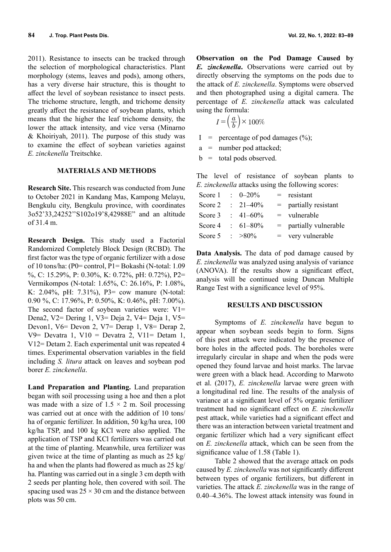2011). Resistance to insects can be tracked through the selection of morphological characteristics. Plant morphology (stems, leaves and pods), among others, has a very diverse hair structure, this is thought to affect the level of soybean resistance to insect pests. The trichome structure, length, and trichome density greatly affect the resistance of soybean plants, which means that the higher the leaf trichome density, the lower the attack intensity, and vice versa (Minarno & Khoiriyah, 2011). The purpose of this study was to examine the effect of soybean varieties against *E. zinckenella* Treitschke.

# **MATERIALS AND METHODS**

**Research Site.** This research was conducted from June to October 2021 in Kandang Mas, Kampong Melayu, Bengkulu city, Bengkulu province, with coordinates 3o52'33,24252''S102o19'8,42988E" and an altitude of 31.4 m.

**Research Design.** This study used a Factorial Randomized Completely Block Design (RCBD). The first factor was the type of organic fertilizer with a dose of 10 tons/ha: (P0= control, P1= Bokashi (N-total: 1.09 %, C: 15.29%, P: 0.30%, K: 0.72%, pH: 0.72%), P2= Vermikompos (N-total: 1.65%, C: 26.16%, P: 1.08%, K: 2.04%, pH: 7.31%), P3= cow manure (N-total: 0.90 %, C: 17.96%, P: 0.50%, K: 0.46%, pH: 7.00%). The second factor of soybean varieties were:  $V1=$ Dena2, V2= Dering 1, V3= Deja 2, V4= Deja 1, V5= Devon1, V6= Devon 2, V7= Derap 1, V8= Derap 2, V9= Devatra 1, V10 = Devatra 2, V11= Detam 1, V12= Detam 2. Each experimental unit was repeated 4 times. Experimental observation variables in the field including *S. litura* attack on leaves and soybean pod borer *E. zinckenella*.

**Land Preparation and Planting.** Land preparation began with soil processing using a hoe and then a plot was made with a size of  $1.5 \times 2$  m. Soil processing was carried out at once with the addition of 10 tons/ ha of organic fertilizer. In addition, 50 kg/ha urea, 100 kg/ha TSP, and 100 kg KCl were also applied. The application of TSP and KCl fertilizers was carried out at the time of planting. Meanwhile, urea fertilizer was given twice at the time of planting as much as 25 kg/ ha and when the plants had flowered as much as 25 kg/ ha. Planting was carried out in a single 3 cm depth with 2 seeds per planting hole, then covered with soil. The spacing used was  $25 \times 30$  cm and the distance between plots was 50 cm.

**Observation on the Pod Damage Caused by**  *E. zinckenella***.** Observations were carried out by directly observing the symptoms on the pods due to the attack of *E. zinckenella*. Symptoms were observed and then photographed using a digital camera. The percentage of *E. zinckenella* attack was calculated using the formula:

$$
I = \left(\frac{a}{b}\right) \times 100\%
$$

- I = percentage of pod damages  $(\%);$
- a = number pod attacked;
- $b =$  total pods observed.

The level of resistance of soybean plants to *E. zinckenella* attacks using the following scores:

|  |                                                                                                      | $=$ resistant            |
|--|------------------------------------------------------------------------------------------------------|--------------------------|
|  |                                                                                                      | $=$ partially resistant  |
|  |                                                                                                      | $=$ vulnerable           |
|  |                                                                                                      | $=$ partially vulnerable |
|  |                                                                                                      | $=$ very vulnerable      |
|  | Score 1 : $0 - 20\%$<br>$\therefore$ 21–40%<br>$\pm 41 - 60\%$<br>$: 61 - 80\%$<br>Score 5 : $>80\%$ |                          |

**Data Analysis.** The data of pod damage caused by *E. zinckenella* was analyzed using analysis of variance (ANOVA). If the results show a significant effect, analysis will be continued using Duncan Multiple Range Test with a significance level of 95%.

#### **RESULTS AND DISCUSSION**

Symptoms of *E. zinckenella* have begun to appear when soybean seeds begin to form. Signs of this pest attack were indicated by the presence of bore holes in the affected pods. The boreholes were irregularly circular in shape and when the pods were opened they found larvae and hoist marks. The larvae were green with a black head. According to Marwoto et al. (2017), *E. zinckenella* larvae were green with a longitudinal red line. The results of the analysis of variance at a significant level of 5% organic fertilizer treatment had no significant effect on *E. zinckenella* pest attack, while varieties had a significant effect and there was an interaction between varietal treatment and organic fertilizer which had a very significant effect on *E. zinckenella* attack, which can be seen from the significance value of 1.58 (Table 1).

Table 2 showed that the average attack on pods caused by *E. zinckenella* was not significantly different between types of organic fertilizers, but different in varieties. The attack *E. zinckenella* was in the range of 0.40–4.36%. The lowest attack intensity was found in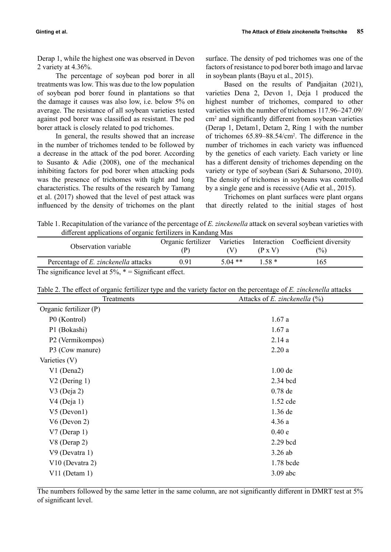Derap 1, while the highest one was observed in Devon 2 variety at 4.36%.

The percentage of soybean pod borer in all treatments was low. This was due to the low population of soybean pod borer found in plantations so that the damage it causes was also low, i.e. below 5% on average. The resistance of all soybean varieties tested against pod borer was classified as resistant. The pod borer attack is closely related to pod trichomes.

In general, the results showed that an increase in the number of trichomes tended to be followed by a decrease in the attack of the pod borer. According to Susanto & Adie (2008), one of the mechanical inhibiting factors for pod borer when attacking pods was the presence of trichomes with tight and long characteristics. The results of the research by Tamang et al. (2017) showed that the level of pest attack was influenced by the density of trichomes on the plant surface. The density of pod trichomes was one of the factors of resistance to pod borer both imago and larvae in soybean plants (Bayu et al., 2015).

Based on the results of Pandjaitan (2021), varieties Dena 2, Devon 1, Deja 1 produced the highest number of trichomes, compared to other varieties with the number of trichomes 117.96–247.09/ cm2 and significantly different from soybean varieties (Derap 1, Detam1, Detam 2, Ring 1 with the number of trichomes 65.89–88.54/cm<sup>2</sup> . The difference in the number of trichomes in each variety was influenced by the genetics of each variety. Each variety or line has a different density of trichomes depending on the variety or type of soybean (Sari & Suharsono, 2010). The density of trichomes in soybeans was controlled by a single gene and is recessive (Adie et al., 2015).

Trichomes on plant surfaces were plant organs that directly related to the initial stages of host

Table 1. Recapitulation of the variance of the percentage of *E. zinckenella* attack on several soybean varieties with different applications of organic fertilizers in Kandang Mas

| Observation variable                 | Organic fertilizer |           | $(P \times V)$ | Varieties Interaction Coefficient diversity<br>$\frac{6}{2}$ |
|--------------------------------------|--------------------|-----------|----------------|--------------------------------------------------------------|
| Percentage of E. zinckenella attacks | 0.91               | $5.04$ ** | 158*           | $65^\circ$                                                   |

The significance level at  $5\%$ ,  $* =$  Significant effect.

| Table 2. The effect of organic fertilizer type and the variety factor on the percentage of E, zinckenella attacks |  |
|-------------------------------------------------------------------------------------------------------------------|--|
|-------------------------------------------------------------------------------------------------------------------|--|

| Treatments             | Attacks of E. zinckenella $(\%)$ |
|------------------------|----------------------------------|
| Organic fertilizer (P) |                                  |
| P0 (Kontrol)           | 1.67a                            |
| P1 (Bokashi)           | 1.67a                            |
| P2 (Vermikompos)       | 2.14a                            |
| P3 (Cow manure)        | 2.20a                            |
| Varieties (V)          |                                  |
| V1 (Dena2)             | $1.00$ de                        |
| $V2$ (Dering 1)        | 2.34 bcd                         |
| $V3$ (Deja 2)          | $0.78$ de                        |
| $V4$ (Deja 1)          | 1.52 cde                         |
| $V5$ (Devon1)          | 1.36 de                          |
| $V6$ (Devon 2)         | 4.36a                            |
| $V7$ (Derap 1)         | 0.40e                            |
| V8 (Derap 2)           | 2.29 bcd                         |
| V9 (Devatra 1)         | $3.26$ ab                        |
| V10 (Devatra 2)        | 1.78 bcde                        |
| $V11$ (Detam 1)        | $3.09$ abc                       |

The numbers followed by the same letter in the same column, are not significantly different in DMRT test at 5% of significant level.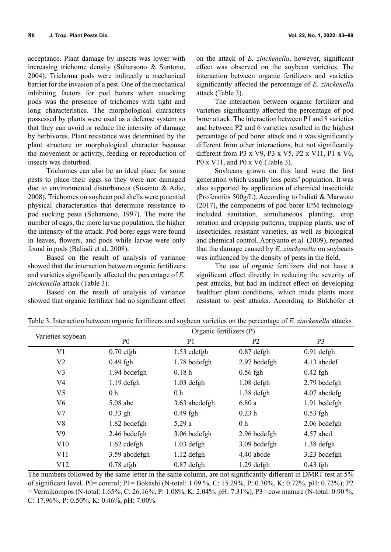acceptance. Plant damage by insects was lower with increasing trichome density (Suharsono & Suntono, 2004). Trichoma pods were indirectly a mechanical barrier for the invasion of a pest. One of the mechanical inhibiting factors for pod borers when attacking pods was the presence of trichomes with tight and long characteristics. The morphological characters possessed by plants were used as a defense system so that they can avoid or reduce the intensity of damage by herbivores. Plant resistance was determined by the plant structure or morphological character because the movement or activity, feeding or reproduction of insects was disturbed.

Trichomes can also be an ideal place for some pests to place their eggs so they were not damaged due to environmental disturbances (Susanto & Adie, 2008). Trichomes on soybean pod shells were potential physical characteristics that determine resistance to pod sucking pests (Suharsono, 1997). The more the number of eggs, the more larvae population, the higher the intensity of the attack. Pod borer eggs were found in leaves, flowers, and pods while larvae were only found in pods (Baliadi et al. 2008).

Based on the result of analysis of variance showed that the interaction between organic fertilizers and varieties significantly affected the percentage of *E. zinckenella* attack (Table 3).

Based on the result of analysis of variance showed that organic fertilizer had no significant effect

on the attack of *E. zinckenella*, however, significant effect was observed on the soybean varieties. The interaction between organic fertilizers and varieties significantly affected the percentage of *E. zinckenella* attack (Table 3).

The interaction between organic fertilizer and varieties significantly affected the percentage of pod borer attack. The interaction between P1 and 8 varieties and between P2 and 6 varieties resulted in the highest percentage of pod borer attack and it was significantly different from other interactions, but not significantly different from P3 x V9, P3 x V5, P2 x V11, P1 x V6, P0 x V11, and P0 x V6 (Table 3).

Soybeans grown on this land were the first generation which usually less pests' population. It was also supported by application of chemical insecticide (Profenofos 500g/L). According to Indiati & Marwoto (2017), the components of pod borer IPM technology included sanitation, simultaneous planting, crop rotation and cropping patterns, trapping plants, use of insecticides, resistant varieties, as well as biological and chemical control. Apriyanto et al. (2009), reported that the damage caused by *E. zinckenella* on soybeans was influenced by the density of pests in the field.

The use of organic fertilizers did not have a significant effect directly in reducing the severity of pest attacks, but had an indirect effect on developing healthier plant conditions, which made plants more resistant to pest attacks. According to Birkhofer et

| Varieties soybean | Organic fertilizers (P) |                |                |                |  |
|-------------------|-------------------------|----------------|----------------|----------------|--|
|                   | P <sub>0</sub>          | P <sub>1</sub> | P <sub>2</sub> | P <sub>3</sub> |  |
| V <sub>1</sub>    | $0.70$ efgh             | 1.53 cdefgh    | $0.87$ defgh   | $0.91$ defgh   |  |
| V <sub>2</sub>    | $0.49$ fgh              | 1.78 bcdefgh   | 2.97 bcdefgh   | 4.13 abcdef    |  |
| V <sub>3</sub>    | 1.94 bcdefgh            | 0.18h          | $0.56$ fgh     | $0.42$ fgh     |  |
| V <sub>4</sub>    | $1.19$ defgh            | $1.03$ defgh   | $1.08$ defgh   | 2.79 bcdefgh   |  |
| V <sub>5</sub>    | 0 <sub>h</sub>          | 0 <sub>h</sub> | $1.38$ defgh   | 4.07 abcdefg   |  |
| V <sub>6</sub>    | 5.08 abc                | 3.63 abcdefgh  | 6,80a          | 1.91 bcdefgh   |  |
| V <sub>7</sub>    | $0.33$ gh               | $0.49$ fgh     | 0.23h          | $0.53$ fgh     |  |
| V8                | 1.82 bcdefgh            | 5,29a          | 0 <sub>h</sub> | 2.06 bcdefgh   |  |
| V <sub>9</sub>    | 2.46 bcdefgh            | 3.06 bcdefgh   | 2.96 bcdefgh   | $4.57$ abcd    |  |
| V10               | $1.62$ cdefgh           | $1.03$ defgh   | 3.09 bcdefgh   | $1.38$ defgh   |  |
| V11               | 3.59 abcdefgh           | $1.12$ defgh   | 4.40 abcde     | 3.23 bcdefgh   |  |
| V12               | $0.78$ efgh             | $0.87$ defgh   | $1.29$ defgh   | $0.43$ fgh     |  |

Table 3. Interaction between organic fertilizers and soybean varieties on the percentage of *E. zinckenella* attacks

The numbers followed by the same letter in the same column, are not significantly different in DMRT test at 5% of significant level. P0= control; P1= Bokashi (N-total: 1.09 %, C: 15.29%, P: 0.30%, K: 0.72%, pH: 0.72%); P2 = Vermikompos (N-total: 1.65%, C: 26.16%, P: 1.08%, K: 2.04%, pH: 7.31%), P3= cow manure (N-total: 0.90 %, C: 17.96%, P: 0.50%, K: 0.46%, pH: 7.00%.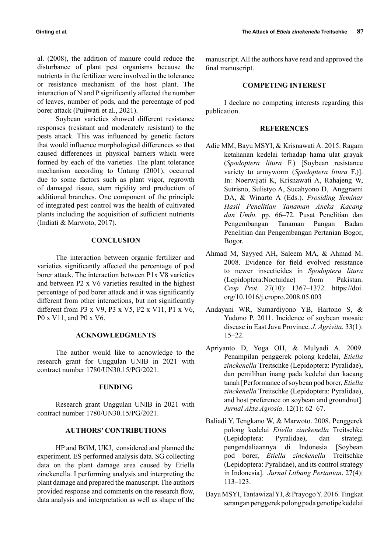al. (2008), the addition of manure could reduce the disturbance of plant pest organisms because the nutrients in the fertilizer were involved in the tolerance or resistance mechanism of the host plant. The interaction of N and P significantly affected the number of leaves, number of pods, and the percentage of pod borer attack (Pujiwati et al., 2021).

Soybean varieties showed different resistance responses (resistant and moderately resistant) to the pests attack. This was influenced by genetic factors that would influence morphological differences so that caused differences in physical barriers which were formed by each of the varieties. The plant tolerance mechanism according to Untung (2001), occurred due to some factors such as plant vigor, regrowth of damaged tissue, stem rigidity and production of additional branches. One component of the principle of integrated pest control was the health of cultivated plants including the acquisition of sufficient nutrients (Indiati & Marwoto, 2017).

# **CONCLUSION**

The interaction between organic fertilizer and varieties significantly affected the percentage of pod borer attack. The interaction between P1x V8 varieties and between P2 x V6 varieties resulted in the highest percentage of pod borer attack and it was significantly different from other interactions, but not significantly different from P3 x V9, P3 x V5, P2 x V11, P1 x V6, P0 x V11, and P0 x V6.

# **ACKNOWLEDGMENTS**

The author would like to acnowledge to the research grant for Unggulan UNIB in 2021 with contract number 1780/UN30.15/PG/2021.

### **FUNDING**

Research grant Unggulan UNIB in 2021 with contract number 1780/UN30.15/PG/2021.

# **AUTHORS' CONTRIBUTIONS**

HP and BGM, UKJ, considered and planned the experiment. ES performed analysis data. SG collecting data on the plant damage area caused by Etiella zinckenella. I performing analysis and interpreting the plant damage and prepared the manuscript. The authors provided response and comments on the research flow, data analysis and interpretation as well as shape of the manuscript. All the authors have read and approved the final manuscript.

# **COMPETING INTEREST**

I declare no competing interests regarding this publication.

### **REFERENCES**

- Adie MM, Bayu MSYI, & Krisnawati A. 2015. Ragam ketahanan kedelai terhadap hama ulat grayak (*Spodoptera litura* F.) [Soybean resistance variety to armyworm (*Spodoptera litura* F.)]. In: Noerwijati K, Krisnawati A, Rahajeng W, Sutrisno, Sulistyo A, Sucahyono D, Anggraeni DA, & Winarto A (Eds.). *Prosiding Seminar Hasil Penelitian Tanaman Aneka Kacang dan Umbi.* pp. 66–72. Pusat Penelitian dan Pengembangan Tanaman Pangan Badan Penelitian dan Pengembangan Pertanian Bogor, Bogor.
- Ahmad M, Sayyed AH, Saleem MA, & Ahmad M. 2008. Evidence for field evolved resistance to newer insecticides in *Spodoptera litura* (Lepidoptera:Noctuidae) from Pakistan. *Crop Prot.* 27(10): 1367–1372. https://doi. org/10.1016/j.cropro.2008.05.003
- Andayani WR, Sumardiyono YB, Hartono S, & Yudono P. 2011. Incidence of soybean mosaic disease in East Java Province. *J. Agrivita.* 33(1): 15–22.
- Apriyanto D, Yoga OH, & Mulyadi A. 2009. Penampilan penggerek polong kedelai, *Etiella zinckenella* Treitschke (Lepidoptera: Pyralidae), dan pemilihan inang pada kedelai dan kacang tanah [Performance of soybean pod borer, *Etiella zinckenella* Treitschke (Lepidoptera: Pyralidae), and host preference on soybean and groundnut]. *Jurnal Akta Agrosia*. 12(1): 62–67.
- Baliadi Y, Tengkano W, & Marwoto. 2008. Penggerek polong kedelai *Etiella zinckenella* Treitschke (Lepidoptera: Pyralidae), dan strategi pengendaliaannya di Indonesia [Soybean pod borer, *Etiella zinckenella* Treitschke (Lepidoptera: Pyralidae), and its control strategy in Indonesia]. *Jurnal Litbang Pertanian*. 27(4): 113–123.
- Bayu MSYI, Tantawizal YI, & Prayogo Y. 2016. Tingkat serangan penggerek polong pada genotipe kedelai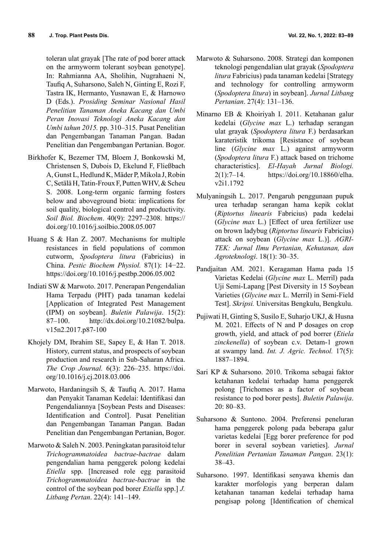toleran ulat grayak [The rate of pod borer attack on the armyworm tolerant soybean genotype]. In: Rahmianna AA, Sholihin, Nugrahaeni N, Taufiq A, Suharsono, Saleh N, Ginting E, Rozi F, Tastra IK, Hermanto, Yusnawan E, & Harnowo D (Eds.). *Prosiding Seminar Nasional Hasil Penelitian Tanaman Aneka Kacang dan Umbi Peran Inovasi Teknologi Aneka Kacang dan Umbi tahun 2015.* pp. 310–315. Pusat Penelitian dan Pengembangan Tanaman Pangan. Badan Penelitian dan Pengembangan Pertanian. Bogor.

- Birkhofer K, Bezemer TM, Bloem J, Bonkowski M, Christensen S, Dubois D, Ekelund F, Fließbach A, Gunst L, Hedlund K, Mäder P, Mikola J, Robin C, Setälä H, Tatin-Froux F, Putten WHV, & Scheu S. 2008. Long-term organic farming fosters below and aboveground biota: implications for soil quality, biological control and productivity. *Soil Biol. Biochem*. 40(9): 2297–2308. https:// doi.org/10.1016/j.soilbio.2008.05.007
- Huang S & Han Z. 2007. Mechanisms for multiple resistances in field populations of common cutworm, *Spodoptera litura* (Fabricius) in China. *Pestic Biochem Physiol.* 87(1): 14−22. https://doi.org/10.1016/j.pestbp.2006.05.002
- Indiati SW & Marwoto. 2017. Penerapan Pengendalian Hama Terpadu (PHT) pada tanaman kedelai [Application of Integrated Pest Management (IPM) on soybean]. *Buletin Palawija*. 15(2): 87–100. http://dx.doi.org/10.21082/bulpa. v15n2.2017.p87-100
- Khojely DM, Ibrahim SE, Sapey E, & Han T. 2018. History, current status, and prospects of soybean production and research in Sub-Saharan Africa. *The Crop Journal.* 6(3): 226–235. https://doi. org/10.1016/j.cj.2018.03.006
- Marwoto, Hardaningsih S, & Taufiq A. 2017. Hama dan Penyakit Tanaman Kedelai: Identifikasi dan Pengendaliannya [Soybean Pests and Diseases: Identification and Control]. Pusat Penelitian dan Pengembangan Tanaman Pangan. Badan Penelitian dan Pengembangan Pertanian, Bogor.
- Marwoto & Saleh N. 2003. Peningkatan parasitoid telur *Trichogrammatoidea bactrae-bactrae* dalam pengendalian hama penggerek polong kedelai *Etiella* spp. [Increased role egg parasitoid *Trichogrammatoidea bactrae-bactrae* in the control of the soybean pod borer *Etiella* spp.] *J. Litbang Pertan*. 22(4): 141–149.
- Marwoto & Suharsono. 2008. Strategi dan komponen teknologi pengendalian ulat grayak (*Spodoptera litura* Fabricius) pada tanaman kedelai [Strategy and technology for controlling armyworm (*Spodoptera litura*) in soybean]. *Jurnal Litbang Pertanian*. 27(4): 131–136.
- Minarno EB & Khoiriyah I. 2011. Ketahanan galur kedelai (*Glycine max* L.) terhadap serangan ulat grayak (*Spodoptera litura* F.) berdasarkan karateristik trikoma [Resistance of soybean line (*Glycine max* L.) against armyworm (*Spodoptera litura* F.) attack based on trichome characteristics]. *El-Hayah Jurnal Biologi.* 2(1):7–14. https://doi.org/10.18860/elha. v2i1.1792
- Mulyaningsih L. 2017. Pengaruh penggunaan pupuk urea terhadap serangan hama kepik coklat (*Riptortus linearis* Fabricius) pada kedelai (*Glycine max* L.) [Effect of urea fertilizer use on brown ladybug (*Riptortus linearis* Fabricius) attack on soybean (*Glycine max* L.)]. *AGRI-TEK: Jurnal Ilmu Pertanian, Kehutanan, dan Agroteknologi*. 18(1): 30–35.
- Pandjaitan AM. 2021. Keragaman Hama pada 15 Varietas Kedelai (*Glycine max* L. Merril) pada Uji Semi-Lapang [Pest Diversity in 15 Soybean Varieties (*Glycine max* L. Merril) in Semi-Field Test]. *Skripsi.* Universitas Bengkulu, Bengkulu.
- Pujiwati H, Ginting S, Susilo E, Suharjo UKJ, & Husna M. 2021. Effects of N and P dosages on crop growth, yield, and attack of pod borrer (*Etiela zinckenella*) of soybean c.v. Detam-1 grown at swampy land. *Int. J. Agric. Technol.* 17(5): 1887–1894.
- Sari KP & Suharsono. 2010. Trikoma sebagai faktor ketahanan kedelai terhadap hama penggerek polong [Trichomes as a factor of soybean resistance to pod borer pests]. *Buletin Palawija*. 20: 80–83.
- Suharsono & Suntono. 2004. Preferensi peneluran hama penggerek polong pada beberapa galur varietas kedelai [Egg borer preference for pod borer in several soybean varieties]. *Jurnal Penelitian Pertanian Tanaman Pangan*. 23(1): 38–43.
- Suharsono. 1997. Identifikasi senyawa khemis dan karakter morfologis yang berperan dalam ketahanan tanaman kedelai terhadap hama pengisap polong [Identification of chemical